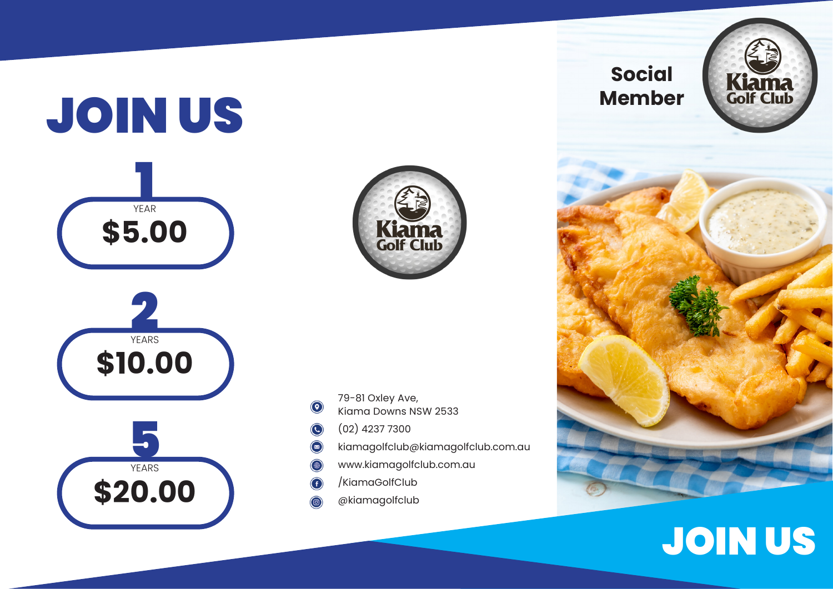## JOIN US 1 YEAR 2 YEARS 5 YEARS **\$5.00 \$10.00 \$20.00**



- 79-81 Oxley Ave,  $\odot$
- Kiama Downs NSW 2533
- (02) 4237 7300  $\odot$
- $\bigcirc$ kiamagolfclub@kiamagolfclub.com.au
- www.kiamagolfclub.com.au (曲)
- /KiamaGolfClub G
- @kiamagolfclub



## JOIN US